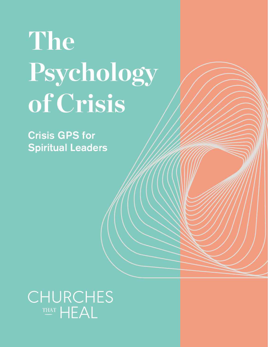# **The Psychology of Crisis**

Crisis GPS for Spiritual Leaders

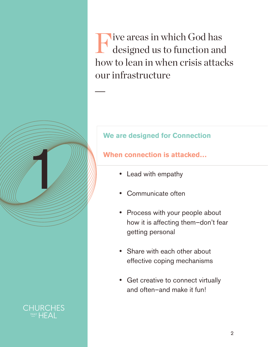Five areas in which God has<br>designed us to function and designed us to function and how to lean in when crisis attacks our infrastructure –

## **We are designed for Connection**

## **When connection is attacked…**

- • Lead with empathy
- Communicate often
- Process with your people about how it is affecting them–don't fear getting personal
- Share with each other about effective coping mechanisms
- Get creative to connect virtually and often–and make it fun!

1999 - Paris Barbara, prima politica de la construcción de la construcción de la construcción de la construcció<br>1991 - La construcción de la construcción de la construcción de la construcción de la construcción de la const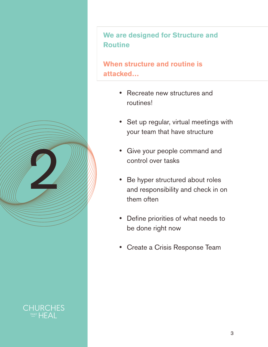**We are designed for Structure and Routine**

**When structure and routine is attacked…**

- Recreate new structures and routines!
- Set up regular, virtual meetings with your team that have structure
- Give your people command and control over tasks
- Be hyper structured about roles and responsibility and check in on them often
- • Define priorities of what needs to be done right now
- • Create a Crisis Response Team



2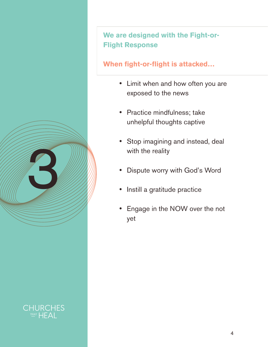**We are designed with the Fight-or-Flight Response**

## **When fight-or-flight is attacked…**

- Limit when and how often you are exposed to the news
- • Practice mindfulness; take unhelpful thoughts captive
- • Stop imagining and instead, deal with the reality
- • Dispute worry with God's Word
- Instill a gratitude practice
- • Engage in the NOW over the not yet



3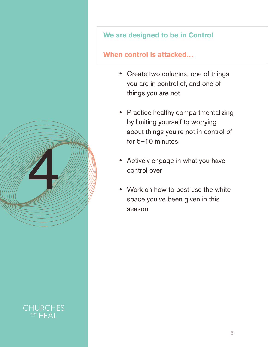#### **We are designed to be in Control**

## **When control is attacked…**

- • Create two columns: one of things you are in control of, and one of things you are not
- • Practice healthy compartmentalizing by limiting yourself to worrying about things you're not in control of for 5–10 minutes
- Actively engage in what you have control over
- Work on how to best use the white space you've been given in this season

1